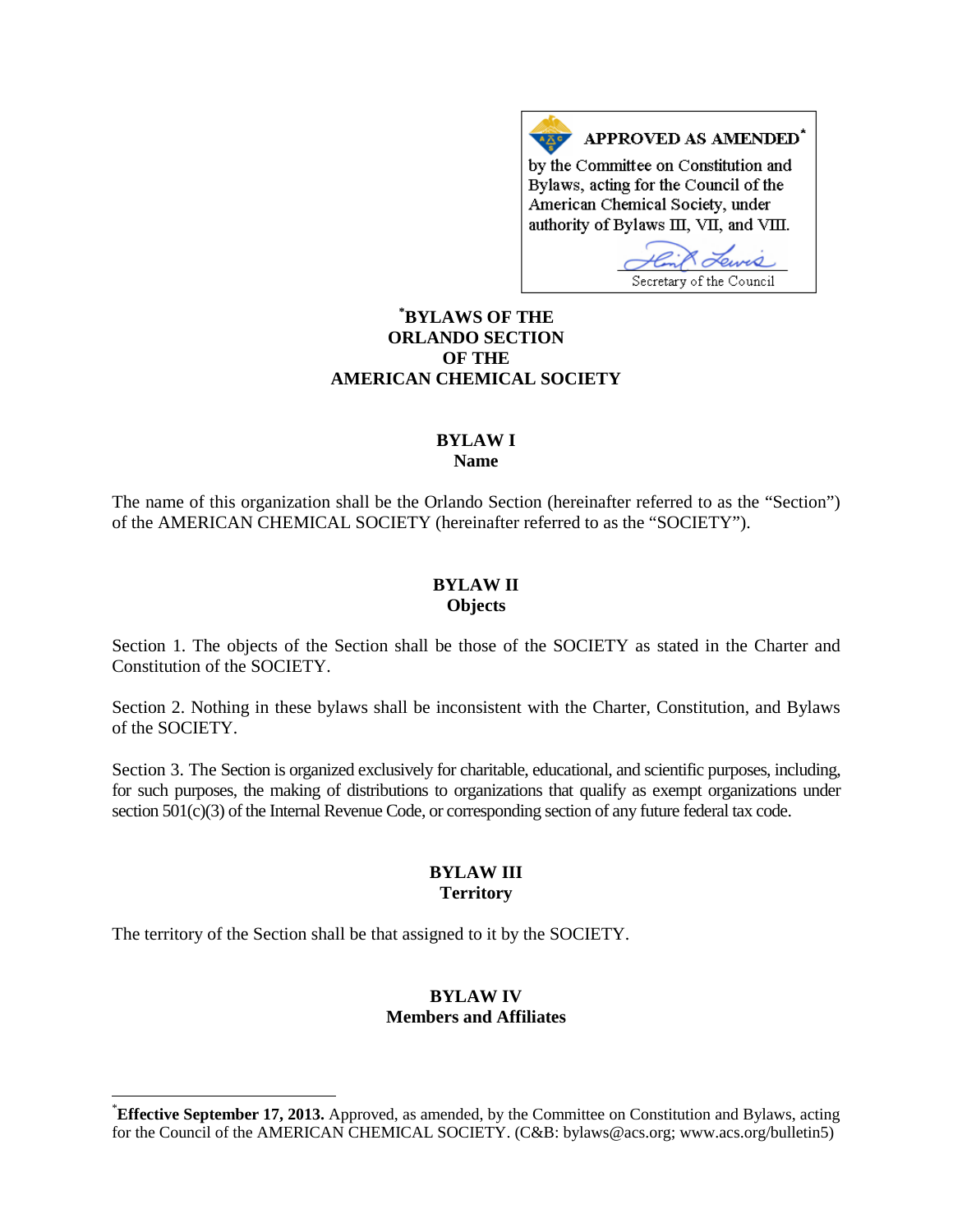APPROVED AS AMENDED<sup>\*</sup> by the Committee on Constitution and Bylaws, acting for the Council of the American Chemical Society, under authority of Bylaws III, VII, and VIII.

Secretary of the Council

# **[\\*](#page-0-0) BYLAWS OF THE ORLANDO SECTION OF THE AMERICAN CHEMICAL SOCIETY**

## **BYLAW I Name**

The name of this organization shall be the Orlando Section (hereinafter referred to as the "Section") of the AMERICAN CHEMICAL SOCIETY (hereinafter referred to as the "SOCIETY").

## **BYLAW II Objects**

Section 1. The objects of the Section shall be those of the SOCIETY as stated in the Charter and Constitution of the SOCIETY.

Section 2. Nothing in these bylaws shall be inconsistent with the Charter, Constitution, and Bylaws of the SOCIETY.

Section 3. The Section is organized exclusively for charitable, educational, and scientific purposes, including, for such purposes, the making of distributions to organizations that qualify as exempt organizations under section 501(c)(3) of the Internal Revenue Code, or corresponding section of any future federal tax code.

## **BYLAW III Territory**

The territory of the Section shall be that assigned to it by the SOCIETY.

# **BYLAW IV Members and Affiliates**

<span id="page-0-0"></span> <sup>\*</sup> **Effective September 17, 2013.** Approved, as amended, by the Committee on Constitution and Bylaws, acting for the Council of the AMERICAN CHEMICAL SOCIETY. (C&B: bylaws@acs.org; www.acs.org/bulletin5)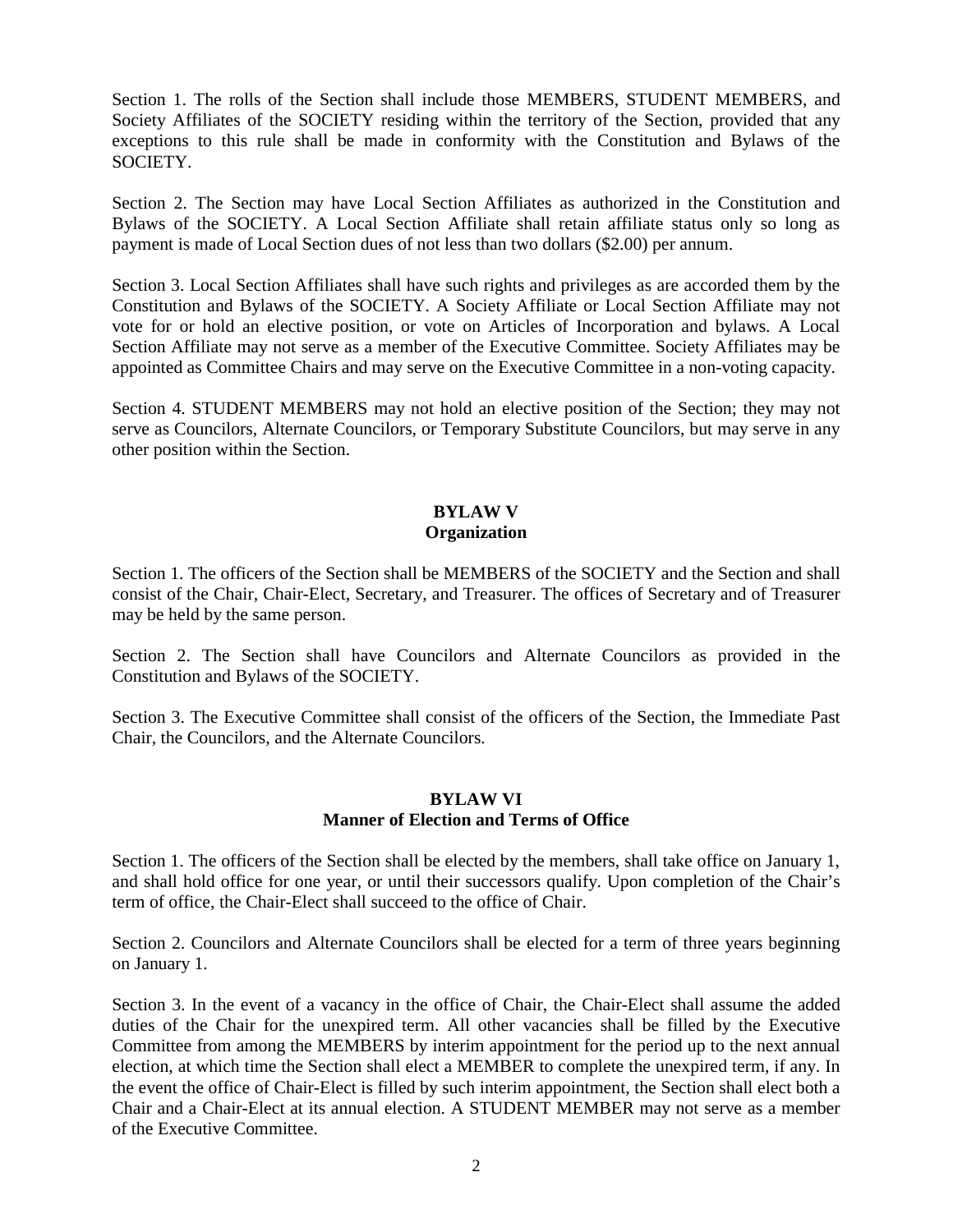Section 1. The rolls of the Section shall include those MEMBERS, STUDENT MEMBERS, and Society Affiliates of the SOCIETY residing within the territory of the Section, provided that any exceptions to this rule shall be made in conformity with the Constitution and Bylaws of the SOCIETY.

Section 2. The Section may have Local Section Affiliates as authorized in the Constitution and Bylaws of the SOCIETY. A Local Section Affiliate shall retain affiliate status only so long as payment is made of Local Section dues of not less than two dollars (\$2.00) per annum.

Section 3. Local Section Affiliates shall have such rights and privileges as are accorded them by the Constitution and Bylaws of the SOCIETY. A Society Affiliate or Local Section Affiliate may not vote for or hold an elective position, or vote on Articles of Incorporation and bylaws. A Local Section Affiliate may not serve as a member of the Executive Committee. Society Affiliates may be appointed as Committee Chairs and may serve on the Executive Committee in a non-voting capacity.

Section 4. STUDENT MEMBERS may not hold an elective position of the Section; they may not serve as Councilors, Alternate Councilors, or Temporary Substitute Councilors, but may serve in any other position within the Section.

## **BYLAW V Organization**

Section 1. The officers of the Section shall be MEMBERS of the SOCIETY and the Section and shall consist of the Chair, Chair-Elect, Secretary, and Treasurer. The offices of Secretary and of Treasurer may be held by the same person.

Section 2. The Section shall have Councilors and Alternate Councilors as provided in the Constitution and Bylaws of the SOCIETY.

Section 3. The Executive Committee shall consist of the officers of the Section, the Immediate Past Chair, the Councilors, and the Alternate Councilors.

## **BYLAW VI Manner of Election and Terms of Office**

Section 1. The officers of the Section shall be elected by the members, shall take office on January 1, and shall hold office for one year, or until their successors qualify. Upon completion of the Chair's term of office, the Chair-Elect shall succeed to the office of Chair.

Section 2. Councilors and Alternate Councilors shall be elected for a term of three years beginning on January 1.

Section 3. In the event of a vacancy in the office of Chair, the Chair-Elect shall assume the added duties of the Chair for the unexpired term. All other vacancies shall be filled by the Executive Committee from among the MEMBERS by interim appointment for the period up to the next annual election, at which time the Section shall elect a MEMBER to complete the unexpired term, if any. In the event the office of Chair-Elect is filled by such interim appointment, the Section shall elect both a Chair and a Chair-Elect at its annual election. A STUDENT MEMBER may not serve as a member of the Executive Committee.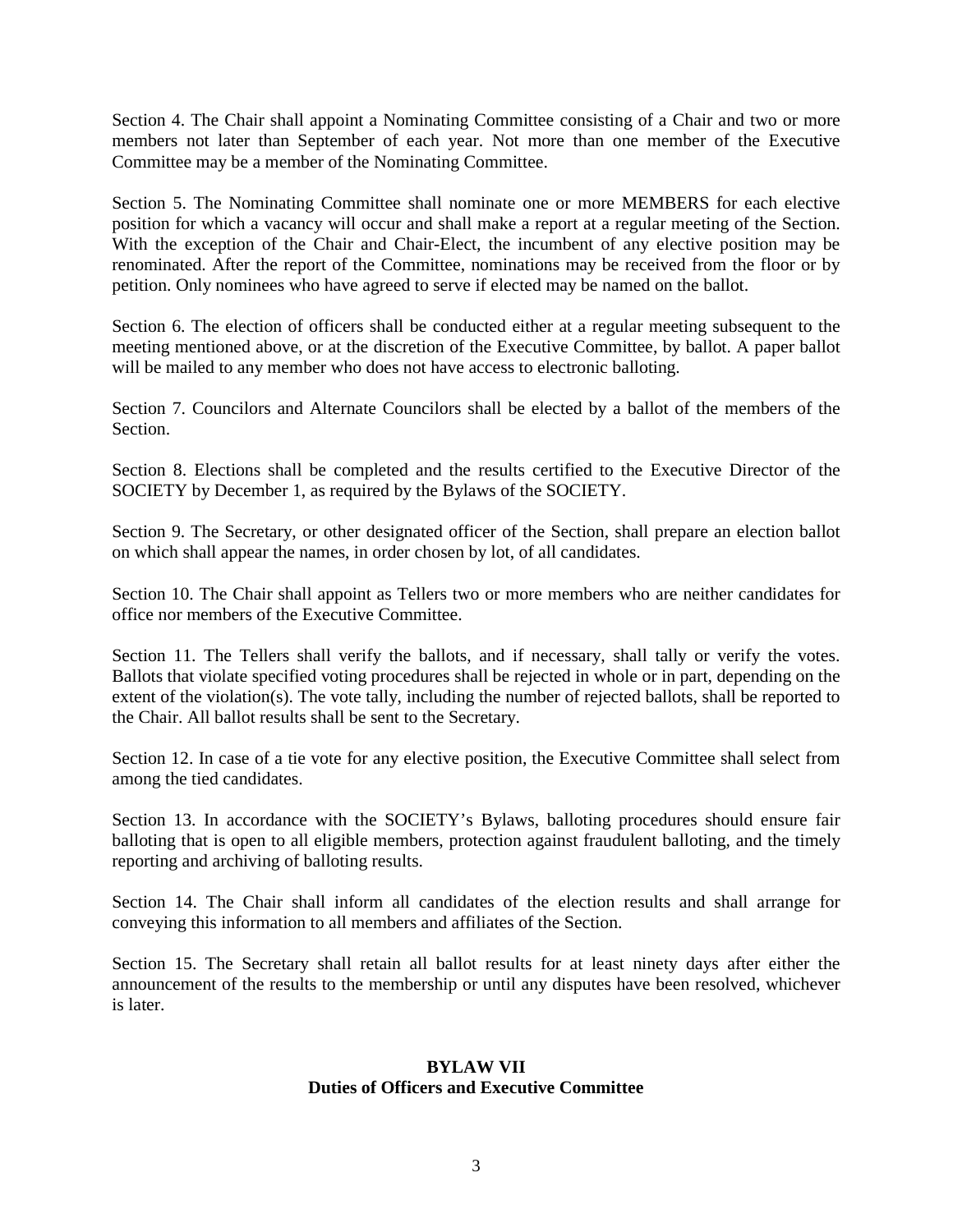Section 4. The Chair shall appoint a Nominating Committee consisting of a Chair and two or more members not later than September of each year. Not more than one member of the Executive Committee may be a member of the Nominating Committee.

Section 5. The Nominating Committee shall nominate one or more MEMBERS for each elective position for which a vacancy will occur and shall make a report at a regular meeting of the Section. With the exception of the Chair and Chair-Elect, the incumbent of any elective position may be renominated. After the report of the Committee, nominations may be received from the floor or by petition. Only nominees who have agreed to serve if elected may be named on the ballot.

Section 6. The election of officers shall be conducted either at a regular meeting subsequent to the meeting mentioned above, or at the discretion of the Executive Committee, by ballot. A paper ballot will be mailed to any member who does not have access to electronic balloting.

Section 7. Councilors and Alternate Councilors shall be elected by a ballot of the members of the Section.

Section 8. Elections shall be completed and the results certified to the Executive Director of the SOCIETY by December 1, as required by the Bylaws of the SOCIETY.

Section 9. The Secretary, or other designated officer of the Section, shall prepare an election ballot on which shall appear the names, in order chosen by lot, of all candidates.

Section 10. The Chair shall appoint as Tellers two or more members who are neither candidates for office nor members of the Executive Committee.

Section 11. The Tellers shall verify the ballots, and if necessary, shall tally or verify the votes. Ballots that violate specified voting procedures shall be rejected in whole or in part, depending on the extent of the violation(s). The vote tally, including the number of rejected ballots, shall be reported to the Chair. All ballot results shall be sent to the Secretary.

Section 12. In case of a tie vote for any elective position, the Executive Committee shall select from among the tied candidates.

Section 13. In accordance with the SOCIETY's Bylaws, balloting procedures should ensure fair balloting that is open to all eligible members, protection against fraudulent balloting, and the timely reporting and archiving of balloting results.

Section 14. The Chair shall inform all candidates of the election results and shall arrange for conveying this information to all members and affiliates of the Section.

Section 15. The Secretary shall retain all ballot results for at least ninety days after either the announcement of the results to the membership or until any disputes have been resolved, whichever is later.

## **BYLAW VII Duties of Officers and Executive Committee**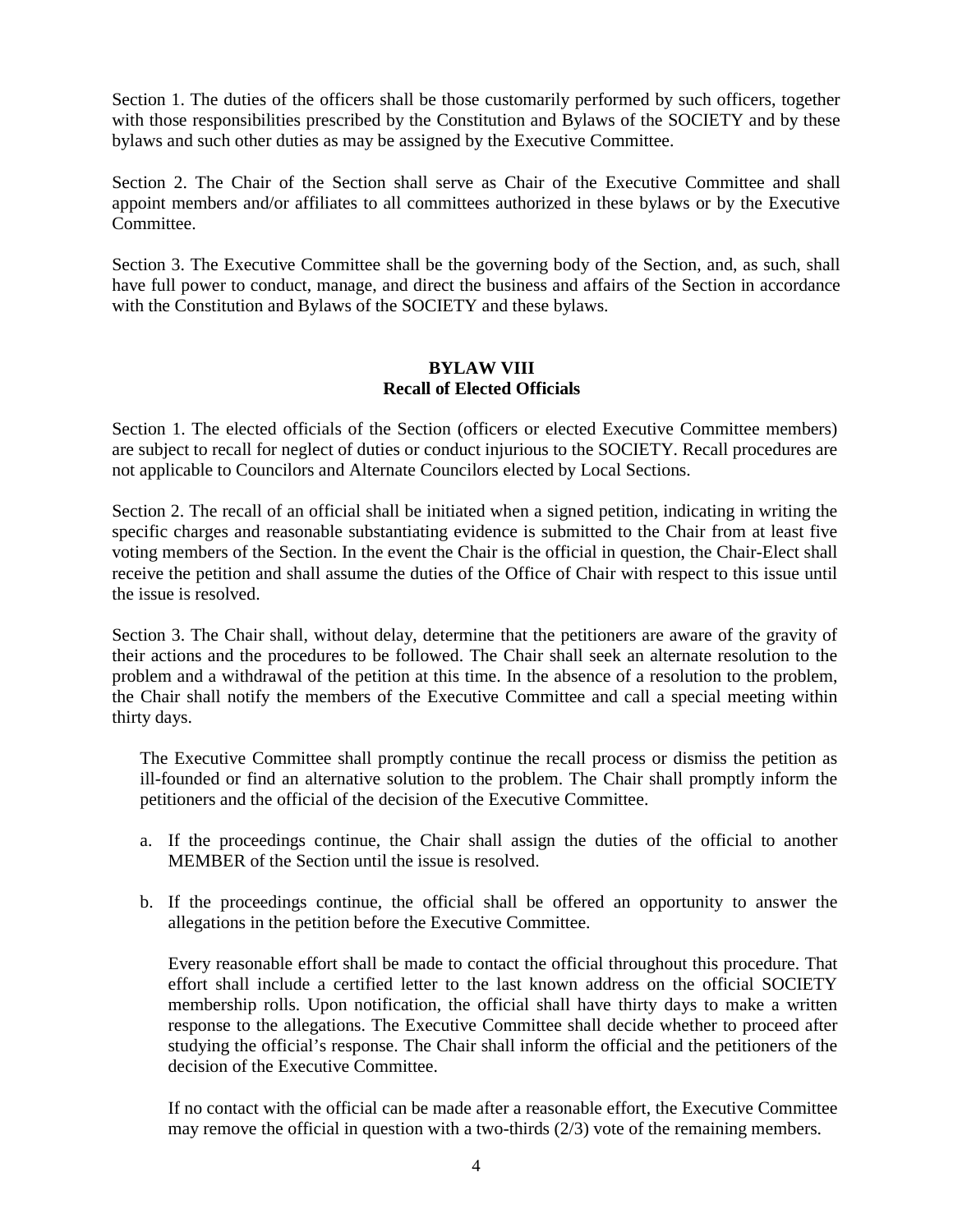Section 1. The duties of the officers shall be those customarily performed by such officers, together with those responsibilities prescribed by the Constitution and Bylaws of the SOCIETY and by these bylaws and such other duties as may be assigned by the Executive Committee.

Section 2. The Chair of the Section shall serve as Chair of the Executive Committee and shall appoint members and/or affiliates to all committees authorized in these bylaws or by the Executive **Committee** 

Section 3. The Executive Committee shall be the governing body of the Section, and, as such, shall have full power to conduct, manage, and direct the business and affairs of the Section in accordance with the Constitution and Bylaws of the SOCIETY and these bylaws.

## **BYLAW VIII Recall of Elected Officials**

Section 1. The elected officials of the Section (officers or elected Executive Committee members) are subject to recall for neglect of duties or conduct injurious to the SOCIETY. Recall procedures are not applicable to Councilors and Alternate Councilors elected by Local Sections.

Section 2. The recall of an official shall be initiated when a signed petition, indicating in writing the specific charges and reasonable substantiating evidence is submitted to the Chair from at least five voting members of the Section. In the event the Chair is the official in question, the Chair-Elect shall receive the petition and shall assume the duties of the Office of Chair with respect to this issue until the issue is resolved.

Section 3. The Chair shall, without delay, determine that the petitioners are aware of the gravity of their actions and the procedures to be followed. The Chair shall seek an alternate resolution to the problem and a withdrawal of the petition at this time. In the absence of a resolution to the problem, the Chair shall notify the members of the Executive Committee and call a special meeting within thirty days.

The Executive Committee shall promptly continue the recall process or dismiss the petition as ill-founded or find an alternative solution to the problem. The Chair shall promptly inform the petitioners and the official of the decision of the Executive Committee.

- a. If the proceedings continue, the Chair shall assign the duties of the official to another MEMBER of the Section until the issue is resolved.
- b. If the proceedings continue, the official shall be offered an opportunity to answer the allegations in the petition before the Executive Committee.

Every reasonable effort shall be made to contact the official throughout this procedure. That effort shall include a certified letter to the last known address on the official SOCIETY membership rolls. Upon notification, the official shall have thirty days to make a written response to the allegations. The Executive Committee shall decide whether to proceed after studying the official's response. The Chair shall inform the official and the petitioners of the decision of the Executive Committee.

If no contact with the official can be made after a reasonable effort, the Executive Committee may remove the official in question with a two-thirds (2/3) vote of the remaining members.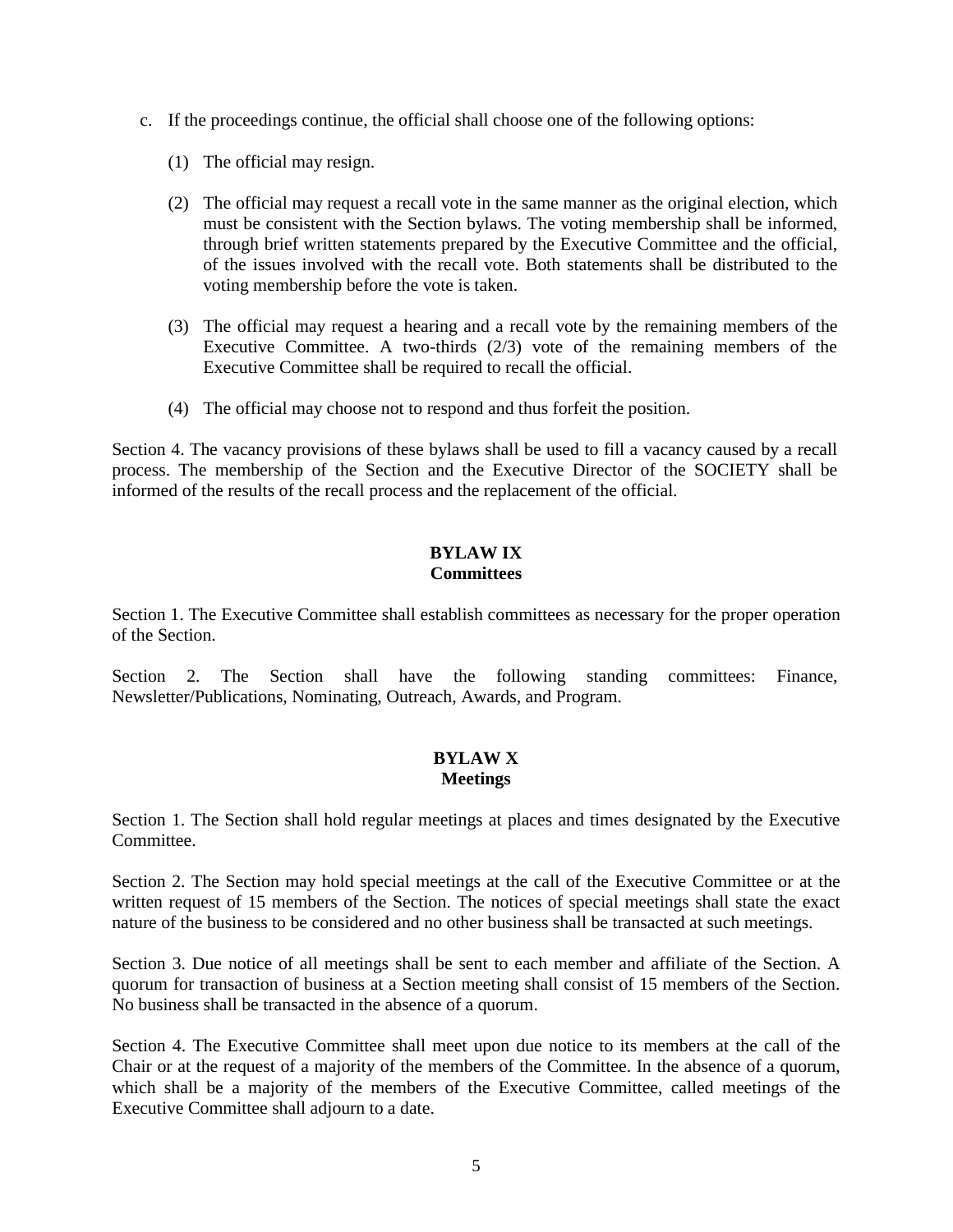- c. If the proceedings continue, the official shall choose one of the following options:
	- (1) The official may resign.
	- (2) The official may request a recall vote in the same manner as the original election, which must be consistent with the Section bylaws. The voting membership shall be informed, through brief written statements prepared by the Executive Committee and the official, of the issues involved with the recall vote. Both statements shall be distributed to the voting membership before the vote is taken.
	- (3) The official may request a hearing and a recall vote by the remaining members of the Executive Committee. A two-thirds (2/3) vote of the remaining members of the Executive Committee shall be required to recall the official.
	- (4) The official may choose not to respond and thus forfeit the position.

Section 4. The vacancy provisions of these bylaws shall be used to fill a vacancy caused by a recall process. The membership of the Section and the Executive Director of the SOCIETY shall be informed of the results of the recall process and the replacement of the official.

# **BYLAW IX Committees**

Section 1. The Executive Committee shall establish committees as necessary for the proper operation of the Section.

Section 2. The Section shall have the following standing committees: Finance, Newsletter/Publications, Nominating, Outreach, Awards, and Program.

# **BYLAW X Meetings**

Section 1. The Section shall hold regular meetings at places and times designated by the Executive Committee.

Section 2. The Section may hold special meetings at the call of the Executive Committee or at the written request of 15 members of the Section. The notices of special meetings shall state the exact nature of the business to be considered and no other business shall be transacted at such meetings.

Section 3. Due notice of all meetings shall be sent to each member and affiliate of the Section. A quorum for transaction of business at a Section meeting shall consist of 15 members of the Section. No business shall be transacted in the absence of a quorum.

Section 4. The Executive Committee shall meet upon due notice to its members at the call of the Chair or at the request of a majority of the members of the Committee. In the absence of a quorum, which shall be a majority of the members of the Executive Committee, called meetings of the Executive Committee shall adjourn to a date.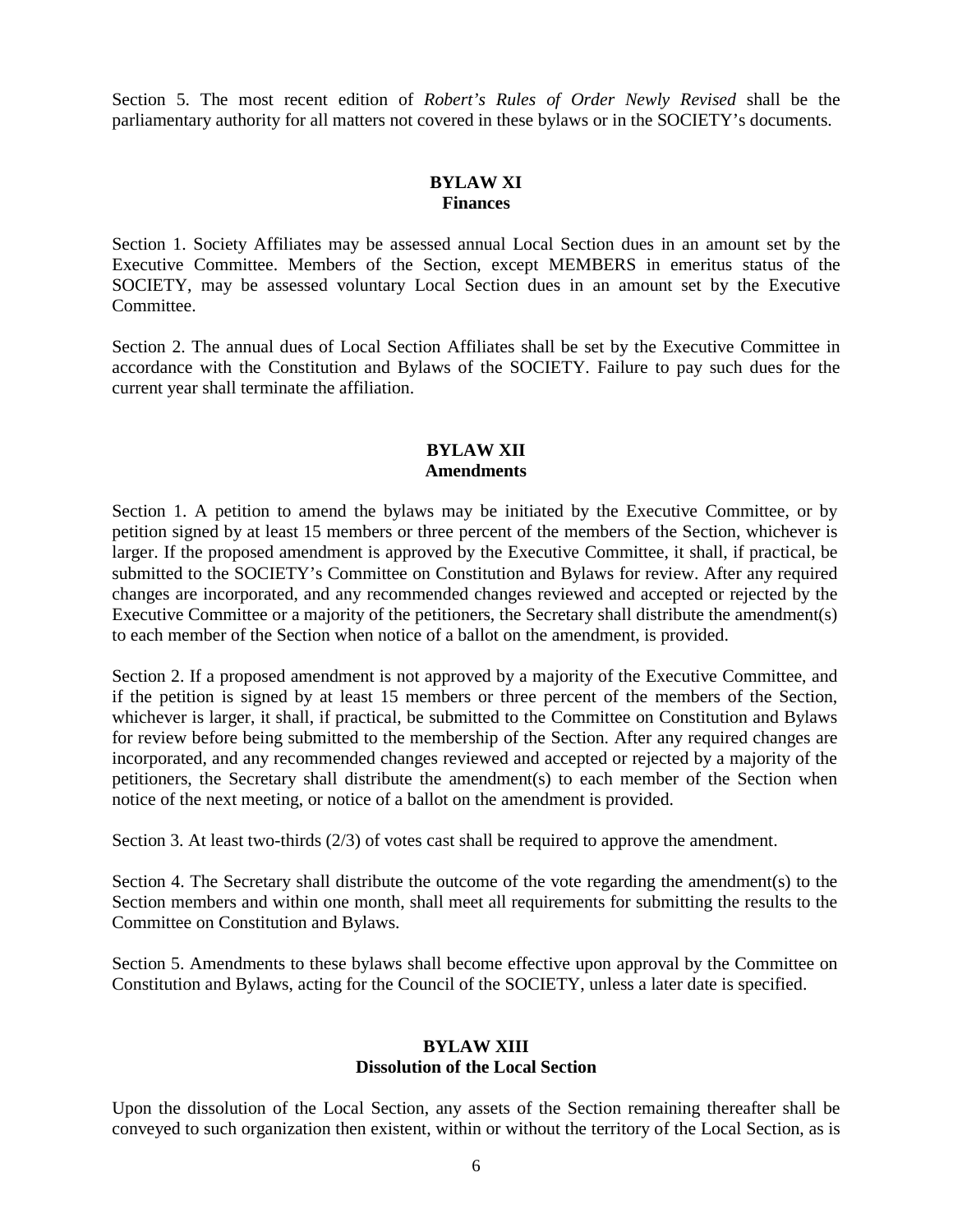Section 5. The most recent edition of *Robert's Rules of Order Newly Revised* shall be the parliamentary authority for all matters not covered in these bylaws or in the SOCIETY's documents.

# **BYLAW XI Finances**

Section 1. Society Affiliates may be assessed annual Local Section dues in an amount set by the Executive Committee. Members of the Section, except MEMBERS in emeritus status of the SOCIETY, may be assessed voluntary Local Section dues in an amount set by the Executive **Committee** 

Section 2. The annual dues of Local Section Affiliates shall be set by the Executive Committee in accordance with the Constitution and Bylaws of the SOCIETY. Failure to pay such dues for the current year shall terminate the affiliation.

# **BYLAW XII Amendments**

Section 1. A petition to amend the bylaws may be initiated by the Executive Committee, or by petition signed by at least 15 members or three percent of the members of the Section, whichever is larger. If the proposed amendment is approved by the Executive Committee, it shall, if practical, be submitted to the SOCIETY's Committee on Constitution and Bylaws for review. After any required changes are incorporated, and any recommended changes reviewed and accepted or rejected by the Executive Committee or a majority of the petitioners, the Secretary shall distribute the amendment(s) to each member of the Section when notice of a ballot on the amendment, is provided.

Section 2. If a proposed amendment is not approved by a majority of the Executive Committee, and if the petition is signed by at least 15 members or three percent of the members of the Section, whichever is larger, it shall, if practical, be submitted to the Committee on Constitution and Bylaws for review before being submitted to the membership of the Section. After any required changes are incorporated, and any recommended changes reviewed and accepted or rejected by a majority of the petitioners, the Secretary shall distribute the amendment(s) to each member of the Section when notice of the next meeting, or notice of a ballot on the amendment is provided.

Section 3. At least two-thirds (2/3) of votes cast shall be required to approve the amendment.

Section 4. The Secretary shall distribute the outcome of the vote regarding the amendment(s) to the Section members and within one month, shall meet all requirements for submitting the results to the Committee on Constitution and Bylaws.

Section 5. Amendments to these bylaws shall become effective upon approval by the Committee on Constitution and Bylaws, acting for the Council of the SOCIETY, unless a later date is specified.

## **BYLAW XIII Dissolution of the Local Section**

Upon the dissolution of the Local Section, any assets of the Section remaining thereafter shall be conveyed to such organization then existent, within or without the territory of the Local Section, as is